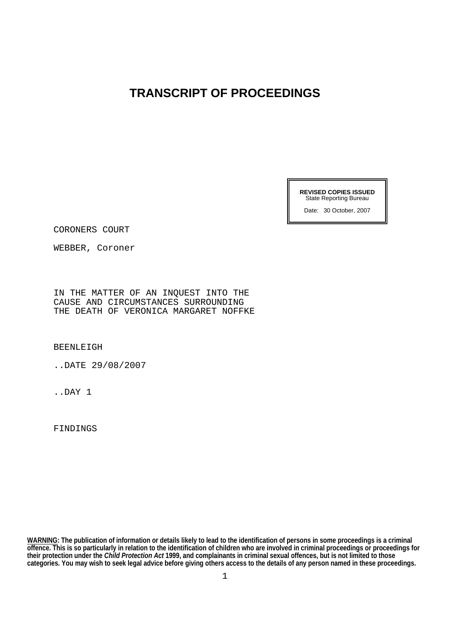## **TRANSCRIPT OF PROCEEDINGS**

**REVISED COPIES ISSUED**  State Reporting Bureau

Date: 30 October, 2007

CORONERS COURT

WEBBER, Coroner

IN THE MATTER OF AN INQUEST INTO THE CAUSE AND CIRCUMSTANCES SURROUNDING THE DEATH OF VERONICA MARGARET NOFFKE

BEENLEIGH

..DATE 29/08/2007

..DAY 1

FINDINGS

**WARNING: The publication of information or details likely to lead to the identification of persons in some proceedings is a criminal offence. This is so particularly in relation to the identification of children who are involved in criminal proceedings or proceedings for their protection under the** *Child Protection Act* **1999, and complainants in criminal sexual offences, but is not limited to those categories. You may wish to seek legal advice before giving others access to the details of any person named in these proceedings.**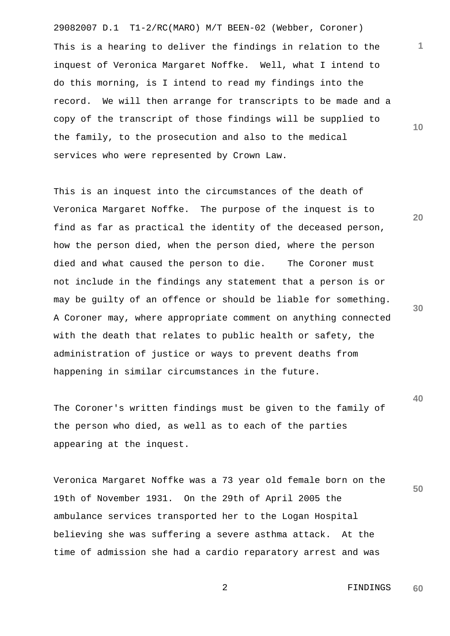29082007 D.1 T1-2/RC(MARO) M/T BEEN-02 (Webber, Coroner) This is a hearing to deliver the findings in relation to the inquest of Veronica Margaret Noffke. Well, what I intend to do this morning, is I intend to read my findings into the record. We will then arrange for transcripts to be made and a copy of the transcript of those findings will be supplied to the family, to the prosecution and also to the medical services who were represented by Crown Law.

This is an inquest into the circumstances of the death of Veronica Margaret Noffke. The purpose of the inquest is to find as far as practical the identity of the deceased person, how the person died, when the person died, where the person died and what caused the person to die. The Coroner must not include in the findings any statement that a person is or may be guilty of an offence or should be liable for something. A Coroner may, where appropriate comment on anything connected with the death that relates to public health or safety, the administration of justice or ways to prevent deaths from happening in similar circumstances in the future.

The Coroner's written findings must be given to the family of the person who died, as well as to each of the parties appearing at the inquest.

**50**  Veronica Margaret Noffke was a 73 year old female born on the 19th of November 1931. On the 29th of April 2005 the ambulance services transported her to the Logan Hospital believing she was suffering a severe asthma attack. At the time of admission she had a cardio reparatory arrest and was

> 2 FINDINGS **60**

**30** 

**40** 

**20** 

**10**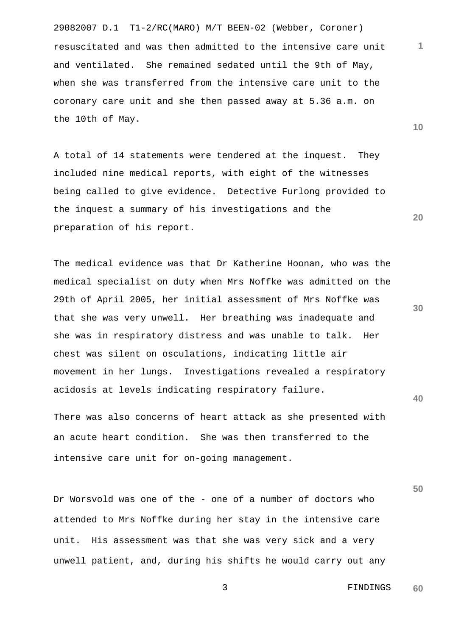29082007 D.1 T1-2/RC(MARO) M/T BEEN-02 (Webber, Coroner) **10**  resuscitated and was then admitted to the intensive care unit and ventilated. She remained sedated until the 9th of May, when she was transferred from the intensive care unit to the coronary care unit and she then passed away at 5.36 a.m. on the 10th of May.

A total of 14 statements were tendered at the inquest. They included nine medical reports, with eight of the witnesses being called to give evidence. Detective Furlong provided to the inquest a summary of his investigations and the preparation of his report.

The medical evidence was that Dr Katherine Hoonan, who was the medical specialist on duty when Mrs Noffke was admitted on the 29th of April 2005, her initial assessment of Mrs Noffke was that she was very unwell. Her breathing was inadequate and she was in respiratory distress and was unable to talk. Her chest was silent on osculations, indicating little air movement in her lungs. Investigations revealed a respiratory acidosis at levels indicating respiratory failure.

There was also concerns of heart attack as she presented with an acute heart condition. She was then transferred to the intensive care unit for on-going management.

Dr Worsvold was one of the - one of a number of doctors who attended to Mrs Noffke during her stay in the intensive care unit. His assessment was that she was very sick and a very unwell patient, and, during his shifts he would carry out any **30** 

**20** 

**1**

**50**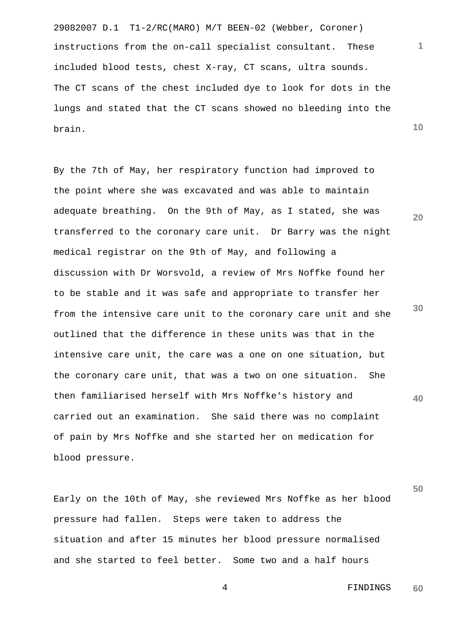29082007 D.1 T1-2/RC(MARO) M/T BEEN-02 (Webber, Coroner) instructions from the on-call specialist consultant. These included blood tests, chest X-ray, CT scans, ultra sounds. The CT scans of the chest included dye to look for dots in the lungs and stated that the CT scans showed no bleeding into the brain.

By the 7th of May, her respiratory function had improved to the point where she was excavated and was able to maintain adequate breathing. On the 9th of May, as I stated, she was transferred to the coronary care unit. Dr Barry was the night medical registrar on the 9th of May, and following a discussion with Dr Worsvold, a review of Mrs Noffke found her to be stable and it was safe and appropriate to transfer her from the intensive care unit to the coronary care unit and she outlined that the difference in these units was that in the intensive care unit, the care was a one on one situation, but the coronary care unit, that was a two on one situation. She then familiarised herself with Mrs Noffke's history and carried out an examination. She said there was no complaint of pain by Mrs Noffke and she started her on medication for blood pressure.

Early on the 10th of May, she reviewed Mrs Noffke as her blood pressure had fallen. Steps were taken to address the situation and after 15 minutes her blood pressure normalised and she started to feel better. Some two and a half hours

**10** 

**1**

**20** 

**30** 

**40**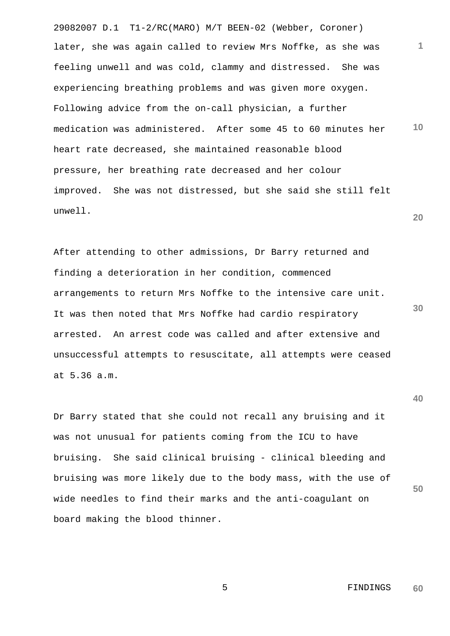29082007 D.1 T1-2/RC(MARO) M/T BEEN-02 (Webber, Coroner) **1 10 20**  later, she was again called to review Mrs Noffke, as she was feeling unwell and was cold, clammy and distressed. She was experiencing breathing problems and was given more oxygen. Following advice from the on-call physician, a further medication was administered. After some 45 to 60 minutes her heart rate decreased, she maintained reasonable blood pressure, her breathing rate decreased and her colour improved. She was not distressed, but she said she still felt unwell.

After attending to other admissions, Dr Barry returned and finding a deterioration in her condition, commenced arrangements to return Mrs Noffke to the intensive care unit. It was then noted that Mrs Noffke had cardio respiratory arrested. An arrest code was called and after extensive and unsuccessful attempts to resuscitate, all attempts were ceased at 5.36 a.m.

Dr Barry stated that she could not recall any bruising and it was not unusual for patients coming from the ICU to have bruising. She said clinical bruising - clinical bleeding and bruising was more likely due to the body mass, with the use of wide needles to find their marks and the anti-coagulant on board making the blood thinner.

> 5 FINDINGS **60**

**30** 

**40**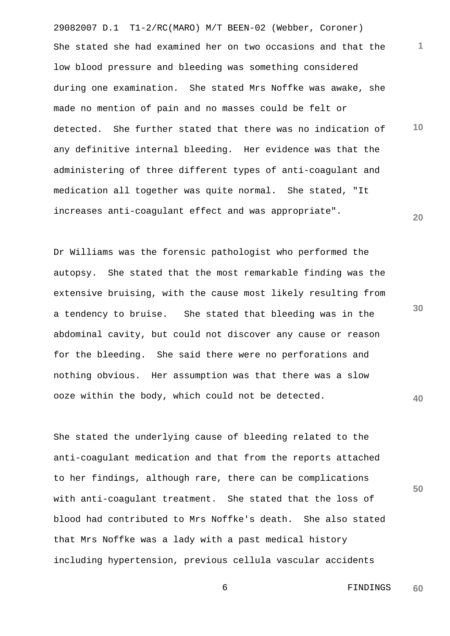29082007 D.1 T1-2/RC(MARO) M/T BEEN-02 (Webber, Coroner) **1 10 20**  She stated she had examined her on two occasions and that the low blood pressure and bleeding was something considered during one examination. She stated Mrs Noffke was awake, she made no mention of pain and no masses could be felt or detected. She further stated that there was no indication of any definitive internal bleeding. Her evidence was that the administering of three different types of anti-coagulant and medication all together was quite normal. She stated, "It increases anti-coagulant effect and was appropriate".

Dr Williams was the forensic pathologist who performed the autopsy. She stated that the most remarkable finding was the extensive bruising, with the cause most likely resulting from a tendency to bruise. She stated that bleeding was in the abdominal cavity, but could not discover any cause or reason for the bleeding. She said there were no perforations and nothing obvious. Her assumption was that there was a slow ooze within the body, which could not be detected.

She stated the underlying cause of bleeding related to the anti-coagulant medication and that from the reports attached to her findings, although rare, there can be complications with anti-coagulant treatment. She stated that the loss of blood had contributed to Mrs Noffke's death. She also stated that Mrs Noffke was a lady with a past medical history including hypertension, previous cellula vascular accidents

**30** 

**40**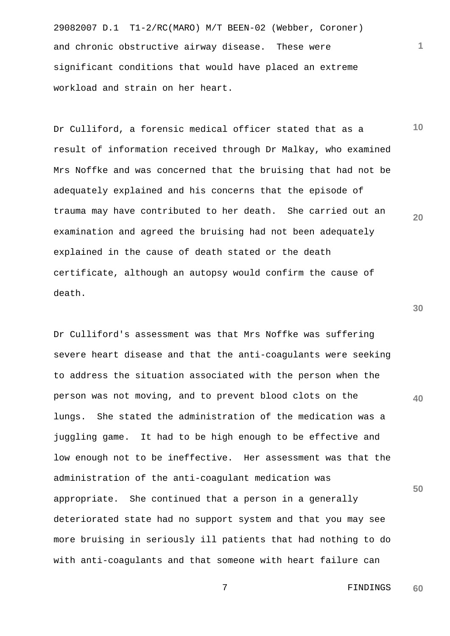29082007 D.1 T1-2/RC(MARO) M/T BEEN-02 (Webber, Coroner) and chronic obstructive airway disease. These were significant conditions that would have placed an extreme workload and strain on her heart.

Dr Culliford, a forensic medical officer stated that as a result of information received through Dr Malkay, who examined Mrs Noffke and was concerned that the bruising that had not be adequately explained and his concerns that the episode of trauma may have contributed to her death. She carried out an examination and agreed the bruising had not been adequately explained in the cause of death stated or the death certificate, although an autopsy would confirm the cause of death.

**40 50**  Dr Culliford's assessment was that Mrs Noffke was suffering severe heart disease and that the anti-coagulants were seeking to address the situation associated with the person when the person was not moving, and to prevent blood clots on the lungs. She stated the administration of the medication was a juggling game. It had to be high enough to be effective and low enough not to be ineffective. Her assessment was that the administration of the anti-coagulant medication was appropriate. She continued that a person in a generally deteriorated state had no support system and that you may see more bruising in seriously ill patients that had nothing to do with anti-coagulants and that someone with heart failure can

**30** 

**1**

**10** 

**20** 

 7 FINDINGS **60**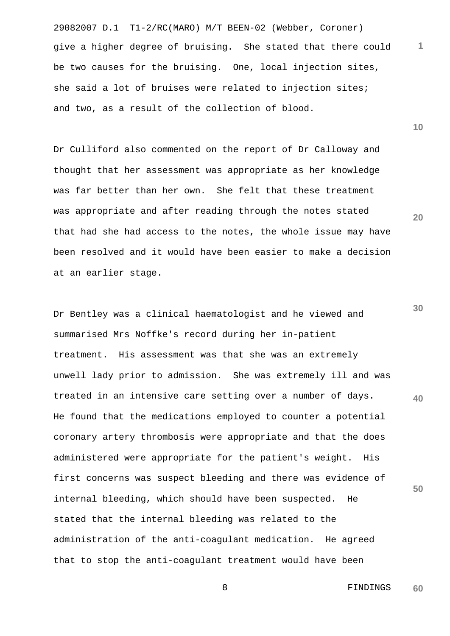29082007 D.1 T1-2/RC(MARO) M/T BEEN-02 (Webber, Coroner) **1** give a higher degree of bruising. She stated that there could be two causes for the bruising. One, local injection sites, she said a lot of bruises were related to injection sites; and two, as a result of the collection of blood.

Dr Culliford also commented on the report of Dr Calloway and thought that her assessment was appropriate as her knowledge was far better than her own. She felt that these treatment was appropriate and after reading through the notes stated that had she had access to the notes, the whole issue may have been resolved and it would have been easier to make a decision at an earlier stage.

**40 50**  Dr Bentley was a clinical haematologist and he viewed and summarised Mrs Noffke's record during her in-patient treatment. His assessment was that she was an extremely unwell lady prior to admission. She was extremely ill and was treated in an intensive care setting over a number of days. He found that the medications employed to counter a potential coronary artery thrombosis were appropriate and that the does administered were appropriate for the patient's weight. His first concerns was suspect bleeding and there was evidence of internal bleeding, which should have been suspected. He stated that the internal bleeding was related to the administration of the anti-coagulant medication. He agreed that to stop the anti-coagulant treatment would have been

**10** 

**20**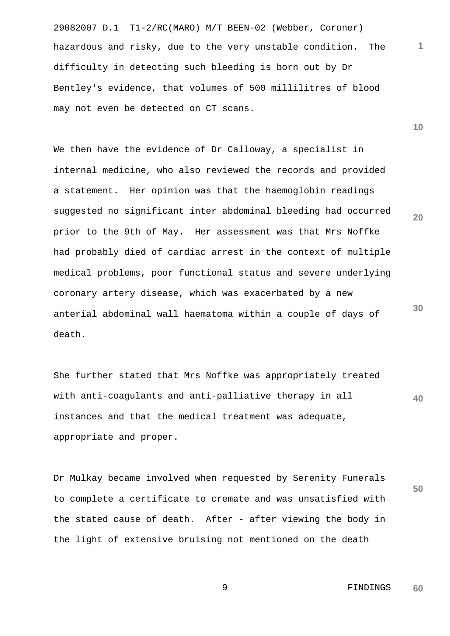29082007 D.1 T1-2/RC(MARO) M/T BEEN-02 (Webber, Coroner) hazardous and risky, due to the very unstable condition. The difficulty in detecting such bleeding is born out by Dr Bentley's evidence, that volumes of 500 millilitres of blood may not even be detected on CT scans.

We then have the evidence of Dr Calloway, a specialist in internal medicine, who also reviewed the records and provided a statement. Her opinion was that the haemoglobin readings suggested no significant inter abdominal bleeding had occurred prior to the 9th of May. Her assessment was that Mrs Noffke had probably died of cardiac arrest in the context of multiple medical problems, poor functional status and severe underlying coronary artery disease, which was exacerbated by a new anterial abdominal wall haematoma within a couple of days of death.

**40**  She further stated that Mrs Noffke was appropriately treated with anti-coagulants and anti-palliative therapy in all instances and that the medical treatment was adequate, appropriate and proper.

Dr Mulkay became involved when requested by Serenity Funerals to complete a certificate to cremate and was unsatisfied with the stated cause of death. After - after viewing the body in the light of extensive bruising not mentioned on the death

> 9 FINDINGS **60**

**1**

**10** 

**20** 

**30**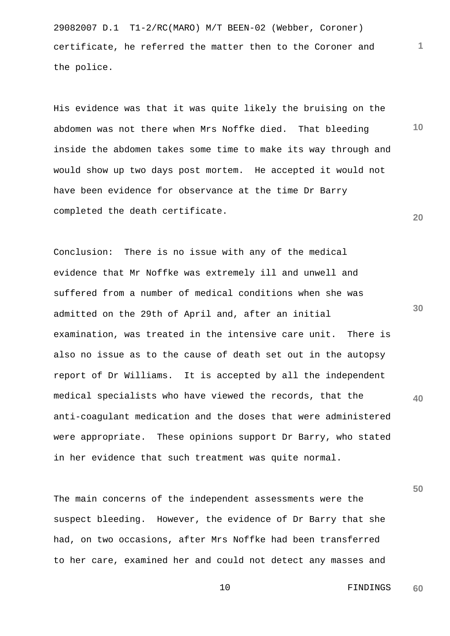29082007 D.1 T1-2/RC(MARO) M/T BEEN-02 (Webber, Coroner) certificate, he referred the matter then to the Coroner and the police.

His evidence was that it was quite likely the bruising on the abdomen was not there when Mrs Noffke died. That bleeding inside the abdomen takes some time to make its way through and would show up two days post mortem. He accepted it would not have been evidence for observance at the time Dr Barry completed the death certificate.

**30 40**  Conclusion: There is no issue with any of the medical evidence that Mr Noffke was extremely ill and unwell and suffered from a number of medical conditions when she was admitted on the 29th of April and, after an initial examination, was treated in the intensive care unit. There is also no issue as to the cause of death set out in the autopsy report of Dr Williams. It is accepted by all the independent medical specialists who have viewed the records, that the anti-coagulant medication and the doses that were administered were appropriate. These opinions support Dr Barry, who stated in her evidence that such treatment was quite normal.

The main concerns of the independent assessments were the suspect bleeding. However, the evidence of Dr Barry that she had, on two occasions, after Mrs Noffke had been transferred to her care, examined her and could not detect any masses and

> 10 FINDINGS **60**

**50** 

**1**

**10**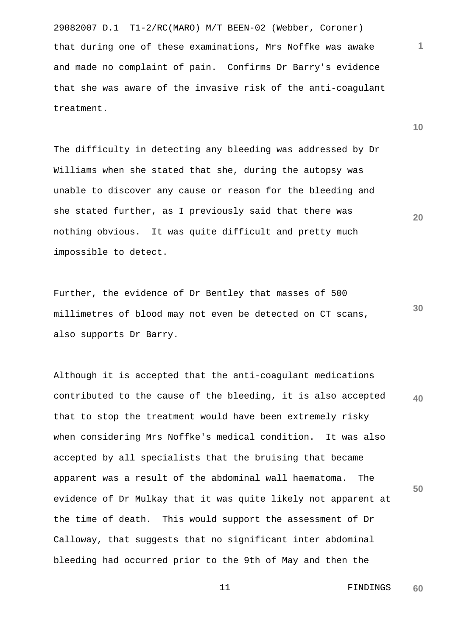29082007 D.1 T1-2/RC(MARO) M/T BEEN-02 (Webber, Coroner) that during one of these examinations, Mrs Noffke was awake and made no complaint of pain. Confirms Dr Barry's evidence that she was aware of the invasive risk of the anti-coagulant treatment.

The difficulty in detecting any bleeding was addressed by Dr Williams when she stated that she, during the autopsy was unable to discover any cause or reason for the bleeding and she stated further, as I previously said that there was nothing obvious. It was quite difficult and pretty much impossible to detect.

Further, the evidence of Dr Bentley that masses of 500 millimetres of blood may not even be detected on CT scans, also supports Dr Barry.

**40 50**  Although it is accepted that the anti-coagulant medications contributed to the cause of the bleeding, it is also accepted that to stop the treatment would have been extremely risky when considering Mrs Noffke's medical condition. It was also accepted by all specialists that the bruising that became apparent was a result of the abdominal wall haematoma. The evidence of Dr Mulkay that it was quite likely not apparent at the time of death. This would support the assessment of Dr Calloway, that suggests that no significant inter abdominal bleeding had occurred prior to the 9th of May and then the

> 11 FINDINGS **60**

**10** 

**1**

**20**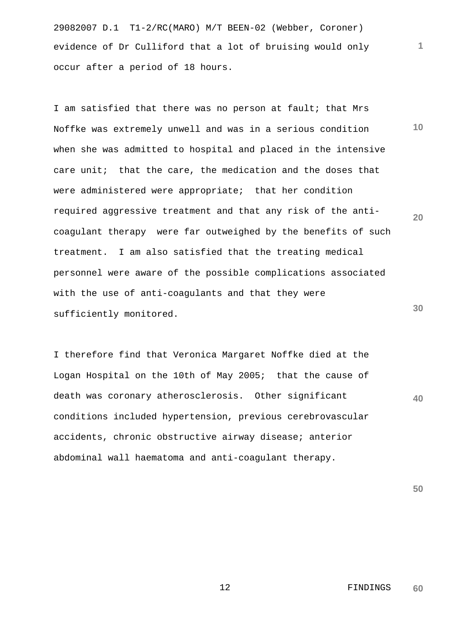29082007 D.1 T1-2/RC(MARO) M/T BEEN-02 (Webber, Coroner) evidence of Dr Culliford that a lot of bruising would only occur after a period of 18 hours.

**10 20 30**  I am satisfied that there was no person at fault; that Mrs Noffke was extremely unwell and was in a serious condition when she was admitted to hospital and placed in the intensive care unit; that the care, the medication and the doses that were administered were appropriate; that her condition required aggressive treatment and that any risk of the anticoagulant therapy were far outweighed by the benefits of such treatment. I am also satisfied that the treating medical personnel were aware of the possible complications associated with the use of anti-coagulants and that they were sufficiently monitored.

I therefore find that Veronica Margaret Noffke died at the Logan Hospital on the 10th of May 2005; that the cause of death was coronary atherosclerosis. Other significant conditions included hypertension, previous cerebrovascular accidents, chronic obstructive airway disease; anterior abdominal wall haematoma and anti-coagulant therapy.

**50** 

**40**